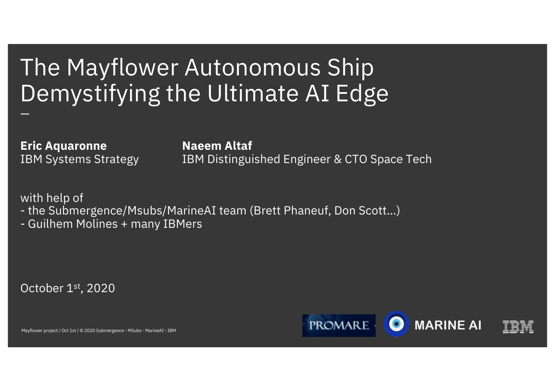## The Mayflower Autonomous Ship Demystifying the Ultimate AI Edge —

**Eric Aquaronne Naeem Altaf**

IBM Systems Strategy **IBM Distinguished Engineer & CTO Space Tech** 

with help of

- the Submergence/Msubs/MarineAI team (Brett Phaneuf, Don Scott…)

- Guilhem Molines + many IBMers

October 1st, 2020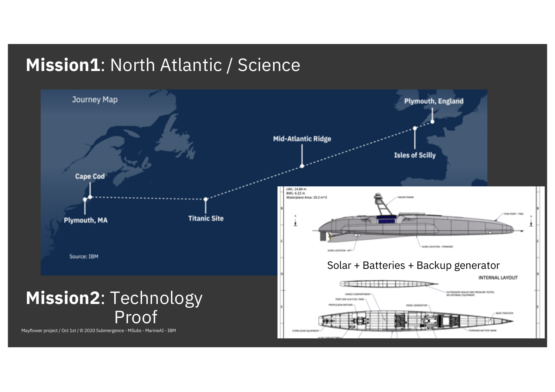### **Mission1**: North Atlantic / Science

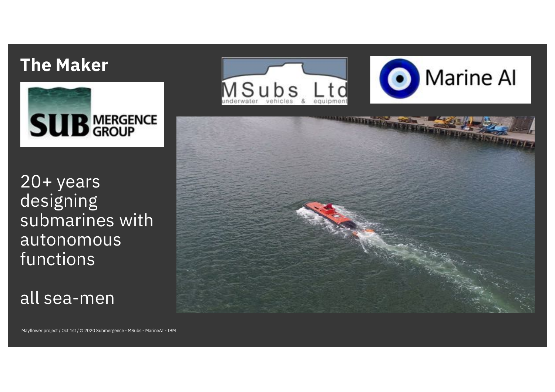#### **The Maker**



20+ years designing submarines with autonomous functions

all sea-men



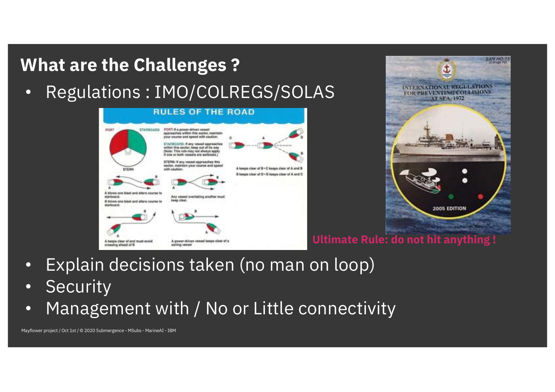

- Explain decisions taken (no man on loop)
- Security
- Management with / No or Little connectivity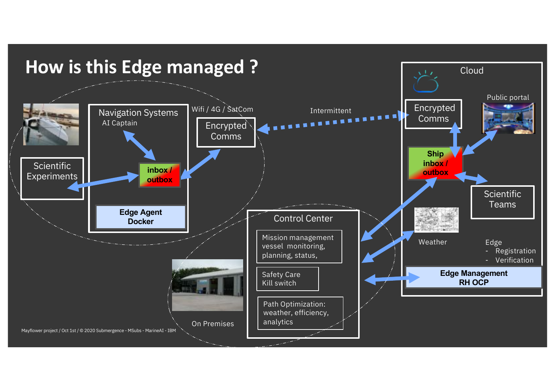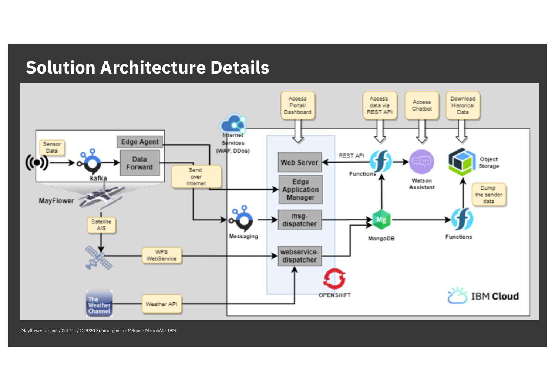#### **Solution Architecture Details**

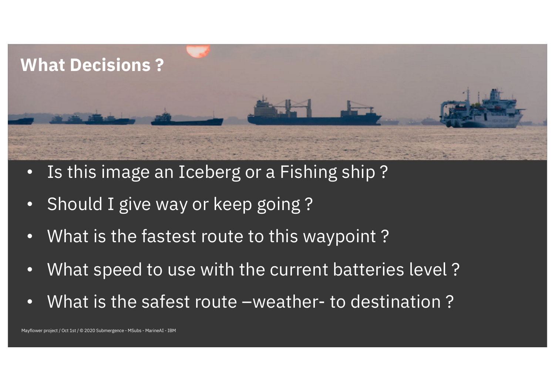

- Is this image an Iceberg or a Fishing ship ?
- Should I give way or keep going ?
- What is the fastest route to this waypoint ?
- What speed to use with the current batteries level ?
- What is the safest route –weather- to destination ?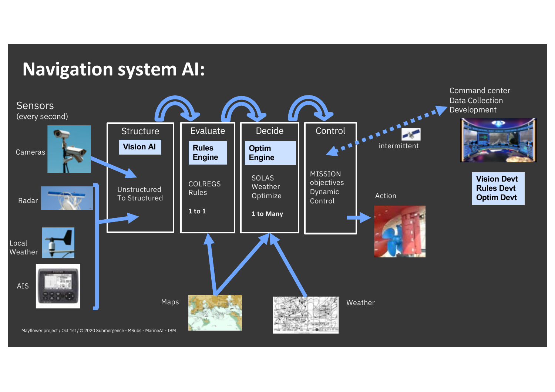#### **Navigation system AI:**

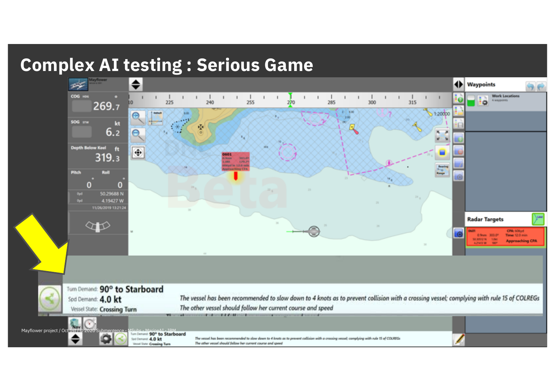## **Complex AI testing : Serious Game**

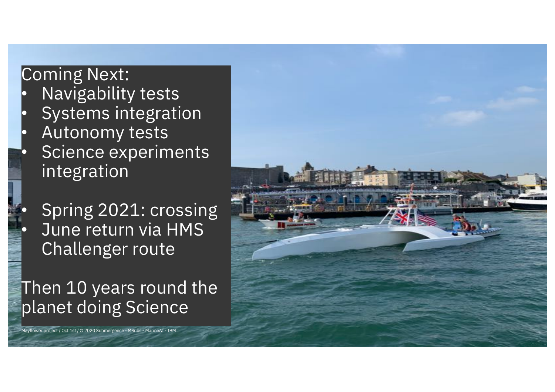## Coming Next:

- Navigability tests
- Systems integration
- Autonomy tests
- Science experiments integration
- Spring 2021: crossing • June return via HMS Challenger route

Then 10 years round the planet doing Science